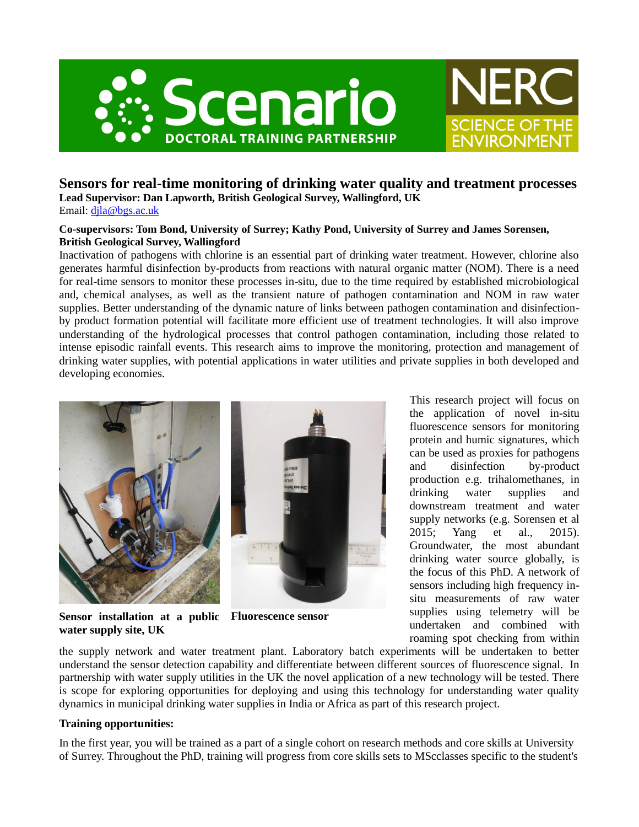



## **Sensors for real-time monitoring of drinking water quality and treatment processes Lead Supervisor: Dan Lapworth, British Geological Survey, Wallingford, UK**

Email: [djla@bgs.ac.uk](mailto:djla@bgs.ac.uk)

**Co-supervisors: Tom Bond, University of Surrey; Kathy Pond, University of Surrey and James Sorensen, British Geological Survey, Wallingford**

Inactivation of pathogens with chlorine is an essential part of drinking water treatment. However, chlorine also generates harmful disinfection by-products from reactions with natural organic matter (NOM). There is a need for real-time sensors to monitor these processes in-situ, due to the time required by established microbiological and, chemical analyses, as well as the transient nature of pathogen contamination and NOM in raw water supplies. Better understanding of the dynamic nature of links between pathogen contamination and disinfectionby product formation potential will facilitate more efficient use of treatment technologies. It will also improve understanding of the hydrological processes that control pathogen contamination, including those related to intense episodic rainfall events. This research aims to improve the monitoring, protection and management of drinking water supplies, with potential applications in water utilities and private supplies in both developed and developing economies.





**Sensor installation at a public Fluorescence sensorwater supply site, UK**

This research project will focus on the application of novel in-situ fluorescence sensors for monitoring protein and humic signatures, which can be used as proxies for pathogens and disinfection by-product production e.g. trihalomethanes, in drinking water supplies and downstream treatment and water supply networks (e.g. Sorensen et al 2015; Yang et al., 2015). Groundwater, the most abundant drinking water source globally, is the focus of this PhD. A network of sensors including high frequency insitu measurements of raw water supplies using telemetry will be undertaken and combined with roaming spot checking from within

the supply network and water treatment plant. Laboratory batch experiments will be undertaken to better understand the sensor detection capability and differentiate between different sources of fluorescence signal. In partnership with water supply utilities in the UK the novel application of a new technology will be tested. There is scope for exploring opportunities for deploying and using this technology for understanding water quality dynamics in municipal drinking water supplies in India or Africa as part of this research project.

## **Training opportunities:**

In the first year, you will be trained as a part of a single cohort on research methods and core skills at University of Surrey. Throughout the PhD, training will progress from core skills sets to MScclasses specific to the student's